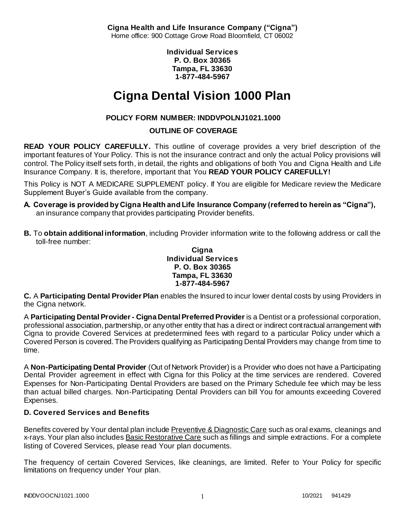**Cigna Health and Life Insurance Company ("Cigna")** Home office: 900 Cottage Grove Road Bloomfield, CT 06002

> **Individual Services P. O. Box 30365 Tampa, FL 33630 1-877-484-5967**

# **Cigna Dental Vision 1000 Plan**

# **POLICY FORM NUMBER: INDDVPOLNJ1021.1000**

# **OUTLINE OF COVERAGE**

**READ YOUR POLICY CAREFULLY.** This outline of coverage provides a very brief description of the important features of Your Policy. This is not the insurance contract and only the actual Policy provisions will control. The Policy itself sets forth, in detail, the rights and obligations of both You and Cigna Health and Life Insurance Company. It is, therefore, important that You **READ YOUR POLICY CAREFULLY!** 

This Policy is NOT A MEDICARE SUPPLEMENT policy. If You are eligible for Medicare review the Medicare Supplement Buyer's Guide available from the company.

- **A. Coverage is provided by Cigna Health and Life Insurance Company (referred to herein as "Cigna"),**  an insurance company that provides participating Provider benefits.
- **B.** To **obtain additional information**, including Provider information write to the following address or call the toll-free number:

### **Cigna Individual Services P. O. Box 30365 Tampa, FL 33630 1-877-484-5967**

**C.** A **Participating Dental Provider Plan** enables the Insured to incur lower dental costs by using Providers in the Cigna network.

A **Participating Dental Provider - Cigna Dental Preferred Provider** is a Dentist or a professional corporation, professional association, partnership, or any other entity that has a direct or indirect contractual arrangement with Cigna to provide Covered Services at predetermined fees with regard to a particular Policy under which a Covered Person is covered. The Providers qualifying as Participating Dental Providers may change from time to time.

A **Non-Participating Dental Provider** (Out of Network Provider) is a Provider who does not have a Participating Dental Provider agreement in effect with Cigna for this Policy at the time services are rendered. Covered Expenses for Non-Participating Dental Providers are based on the Primary Schedule fee which may be less than actual billed charges. Non-Participating Dental Providers can bill You for amounts exceeding Covered Expenses.

# **D. Covered Services and Benefits**

Benefits covered by Your dental plan include Preventive & Diagnostic Care such as oral exams, cleanings and x-rays. Your plan also includes Basic Restorative Care such as fillings and simple extractions. For a complete listing of Covered Services, please read Your plan documents.

The frequency of certain Covered Services, like cleanings, are limited. Refer to Your Policy for specific limitations on frequency under Your plan.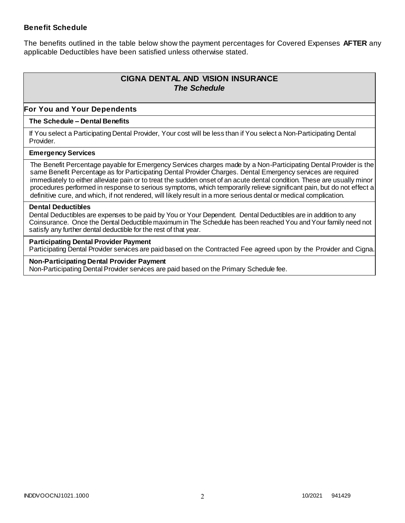### **Benefit Schedule**

The benefits outlined in the table below show the payment percentages for Covered Expenses **AFTER** any applicable Deductibles have been satisfied unless otherwise stated.

# **CIGNA DENTAL AND VISION INSURANCE** *The Schedule*

### **For You and Your Dependents**

### **The Schedule – Dental Benefits**

If You select a Participating Dental Provider, Your cost will be less than if You select a Non-Participating Dental Provider.

#### **Emergency Services**

The Benefit Percentage payable for Emergency Services charges made by a Non-Participating Dental Provider is the same Benefit Percentage as for Participating Dental Provider Charges. Dental Emergency services are required immediately to either alleviate pain or to treat the sudden onset of an acute dental condition. These are usually minor procedures performed in response to serious symptoms, which temporarily relieve significant pain, but do not effect a definitive cure, and which, if not rendered, will likely result in a more serious dental or medical complication.

#### **Dental Deductibles**

Dental Deductibles are expenses to be paid by You or Your Dependent. Dental Deductibles are in addition to any Coinsurance. Once the Dental Deductible maximum in The Schedule has been reached You and Your family need not satisfy any further dental deductible for the rest of that year.

#### **Participating Dental Provider Payment**

Participating Dental Provider services are paid based on the Contracted Fee agreed upon by the Provider and Cigna.

**Non-Participating Dental Provider Payment** Non-Participating Dental Provider services are paid based on the Primary Schedule fee.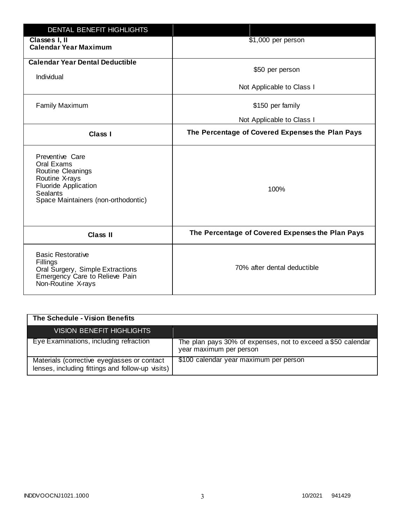| <b>DENTAL BENEFIT HIGHLIGHTS</b>                                                                                                                              |                                                  |
|---------------------------------------------------------------------------------------------------------------------------------------------------------------|--------------------------------------------------|
| Classes I, II<br><b>Calendar Year Maximum</b>                                                                                                                 | \$1,000 per person                               |
| <b>Calendar Year Dental Deductible</b><br>Individual                                                                                                          | \$50 per person                                  |
|                                                                                                                                                               | Not Applicable to Class I                        |
| <b>Family Maximum</b>                                                                                                                                         | \$150 per family                                 |
|                                                                                                                                                               | Not Applicable to Class I                        |
| <b>Class I</b>                                                                                                                                                | The Percentage of Covered Expenses the Plan Pays |
| Preventive Care<br>Oral Exams<br>Routine Cleanings<br>Routine X-rays<br><b>Fluoride Application</b><br><b>Sealants</b><br>Space Maintainers (non-orthodontic) | 100%                                             |
| <b>Class II</b>                                                                                                                                               | The Percentage of Covered Expenses the Plan Pays |
| <b>Basic Restorative</b><br>Fillings<br>Oral Surgery, Simple Extractions<br>Emergency Care to Relieve Pain<br>Non-Routine X-rays                              | 70% after dental deductible                      |

| The Schedule - Vision Benefits                                                                  |                                                                                         |
|-------------------------------------------------------------------------------------------------|-----------------------------------------------------------------------------------------|
| VISION BENEFIT HIGHLIGHTS                                                                       |                                                                                         |
| Eye Examinations, including refraction                                                          | The plan pays 30% of expenses, not to exceed a \$50 calendar<br>year maximum per person |
| Materials (corrective eyeglasses or contact<br>lenses, including fittings and follow-up visits) | \$100 calendar year maximum per person                                                  |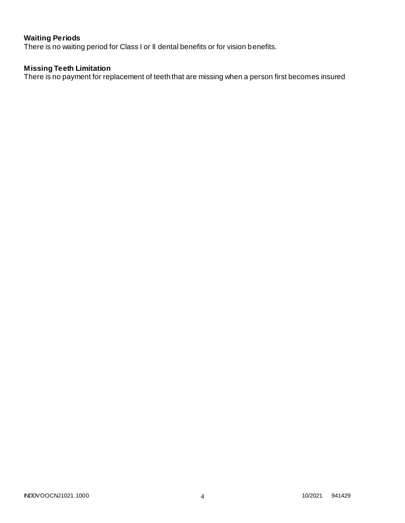# **Waiting Periods**

There is no waiting period for Class I or II dental benefits or for vision benefits.

### **Missing Teeth Limitation**

There is no payment for replacement of teeth that are missing when a person first becomes insured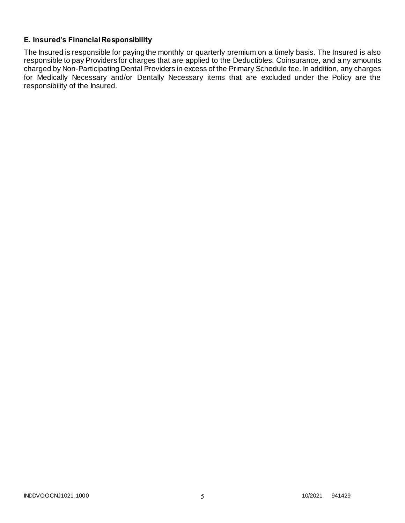# **E. Insured's Financial Responsibility**

The Insured is responsible for paying the monthly or quarterly premium on a timely basis. The Insured is also responsible to pay Providers for charges that are applied to the Deductibles, Coinsurance, and a ny amounts charged by Non-Participating Dental Providers in excess of the Primary Schedule fee. In addition, any charges for Medically Necessary and/or Dentally Necessary items that are excluded under the Policy are the responsibility of the Insured.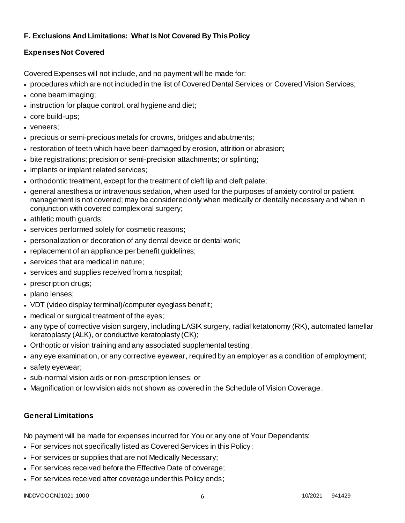# **F. Exclusions And Limitations: What Is Not Covered By This Policy**

# **Expenses Not Covered**

Covered Expenses will not include, and no payment will be made for:

- procedures which are not included in the list of Covered Dental Services or Covered Vision Services;
- cone beam imaging;
- instruction for plaque control, oral hygiene and diet;
- core build-ups;
- veneers;
- precious or semi-precious metals for crowns, bridges and abutments;
- restoration of teeth which have been damaged by erosion, attrition or abrasion;
- bite registrations; precision or semi-precision attachments; or splinting;
- implants or implant related services;
- orthodontic treatment, except for the treatment of cleft lip and cleft palate;
- general anesthesia or intravenous sedation, when used for the purposes of anxiety control or patient management is not covered; may be considered only when medically or dentally necessary and when in conjunction with covered complex oral surgery;
- athletic mouth guards;
- services performed solely for cosmetic reasons;
- personalization or decoration of any dental device or dental work;
- replacement of an appliance per benefit quidelines;
- services that are medical in nature;
- services and supplies received from a hospital;
- prescription drugs;
- plano lenses;
- VDT (video display terminal)/computer eyeglass benefit;
- medical or surgical treatment of the eyes;
- any type of corrective vision surgery, including LASIK surgery, radial ketatonomy (RK), automated lamellar keratoplasty (ALK), or conductive keratoplasty (CK);
- Orthoptic or vision training and any associated supplemental testing;
- any eye examination, or any corrective eyewear, required by an employer as a condition of employment;
- safety eyewear;
- sub-normal vision aids or non-prescription lenses; or
- Magnification or low vision aids not shown as covered in the Schedule of Vision Coverage.

# **General Limitations**

No payment will be made for expenses incurred for You or any one of Your Dependents:

- For services not specifically listed as Covered Services in this Policy;
- For services or supplies that are not Medically Necessary;
- For services received before the Effective Date of coverage;
- For services received after coverage under this Policy ends;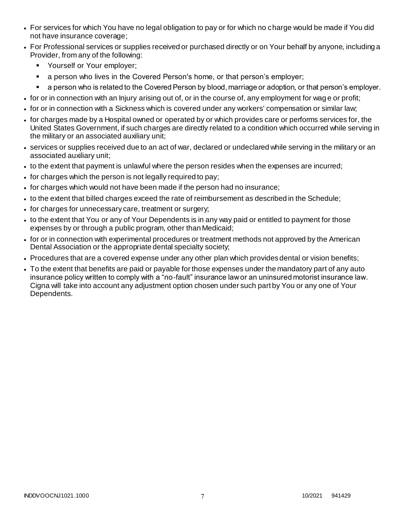- For services for which You have no legal obligation to pay or for which no charge would be made if You did not have insurance coverage;
- For Professional services or supplies received or purchased directly or on Your behalf by anyone, including a Provider, from any of the following:
	- **Yourself or Your employer;**
	- **a** person who lives in the Covered Person's home, or that person's employer;
	- a person who is related to the Covered Person by blood, marriage or adoption, or that person's employer.
- for or in connection with an Injury arising out of, or in the course of, any employment for wag e or profit;
- for or in connection with a Sickness which is covered under any workers' compensation or similar law;
- for charges made by a Hospital owned or operated by or which provides care or performs services for, the United States Government, if such charges are directly related to a condition which occurred while serving in the military or an associated auxiliary unit;
- services or supplies received due to an act of war, declared or undeclared while serving in the military or an associated auxiliary unit;
- to the extent that payment is unlawful where the person resides when the expenses are incurred;
- for charges which the person is not legally required to pay;
- for charges which would not have been made if the person had no insurance;
- to the extent that billed charges exceed the rate of reimbursement as described in the Schedule;
- for charges for unnecessary care, treatment or surgery;
- to the extent that You or any of Your Dependents is in any way paid or entitled to payment for those expenses by or through a public program, other than Medicaid;
- for or in connection with experimental procedures or treatment methods not approved by the American Dental Association or the appropriate dental specialty society;
- Procedures that are a covered expense under any other plan which provides dental or vision benefits;
- To the extent that benefits are paid or payable for those expenses under the mandatory part of any auto insurance policy written to comply with a "no-fault" insurance law or an uninsured motorist insurance law. Cigna will take into account any adjustment option chosen under such part by You or any one of Your Dependents.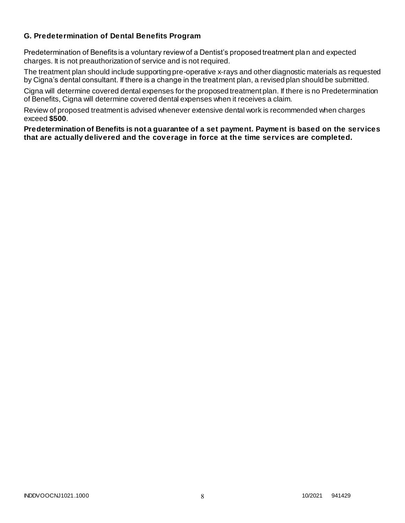# **G. Predetermination of Dental Benefits Program**

Predetermination of Benefits is a voluntary review of a Dentist's proposed treatment plan and expected charges. It is not preauthorization of service and is not required.

The treatment plan should include supporting pre-operative x-rays and other diagnostic materials as requested by Cigna's dental consultant. If there is a change in the treatment plan, a revised plan should be submitted.

Cigna will determine covered dental expenses for the proposed treatment plan. If there is no Predetermination of Benefits, Cigna will determine covered dental expenses when it receives a claim.

Review of proposed treatment is advised whenever extensive dental work is recommended when charges exceed **\$500**.

**Predetermination of Benefits is not a guarantee of a set payment. Payment is based on the services that are actually delivered and the coverage in force at the time services are completed.**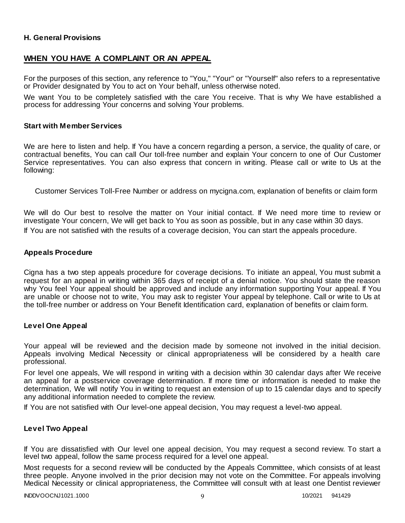### **H. General Provisions**

# **WHEN YOU HAVE A COMPLAINT OR AN APPEAL**

For the purposes of this section, any reference to "You," "Your" or "Yourself" also refers to a representative or Provider designated by You to act on Your behalf, unless otherwise noted.

We want You to be completely satisfied with the care You receive. That is why We have established a process for addressing Your concerns and solving Your problems.

#### **Start with Member Services**

We are here to listen and help. If You have a concern regarding a person, a service, the quality of care, or contractual benefits, You can call Our toll-free number and explain Your concern to one of Our Customer Service representatives. You can also express that concern in writing. Please call or write to Us at the following:

Customer Services Toll-Free Number or address on mycigna.com, explanation of benefits or claim form

We will do Our best to resolve the matter on Your initial contact. If We need more time to review or investigate Your concern, We will get back to You as soon as possible, but in any case within 30 days. If You are not satisfied with the results of a coverage decision, You can start the appeals procedure.

### **Appeals Procedure**

Cigna has a two step appeals procedure for coverage decisions. To initiate an appeal, You must submit a request for an appeal in writing within 365 days of receipt of a denial notice. You should state the reason why You feel Your appeal should be approved and include any information supporting Your appeal. If You are unable or choose not to write, You may ask to register Your appeal by telephone. Call or write to Us at the toll-free number or address on Your Benefit Identification card, explanation of benefits or claim form.

### **Level One Appeal**

Your appeal will be reviewed and the decision made by someone not involved in the initial decision. Appeals involving Medical Necessity or clinical appropriateness will be considered by a health care professional.

For level one appeals, We will respond in writing with a decision within 30 calendar days after We receive an appeal for a postservice coverage determination. If more time or information is needed to make the determination, We will notify You in writing to request an extension of up to 15 calendar days and to specify any additional information needed to complete the review.

If You are not satisfied with Our level-one appeal decision, You may request a level-two appeal.

### **Level Two Appeal**

If You are dissatisfied with Our level one appeal decision, You may request a second review. To start a level two appeal, follow the same process required for a level one appeal.

Most requests for a second review will be conducted by the Appeals Committee, which consists of at least three people. Anyone involved in the prior decision may not vote on the Committee. For appeals involving Medical Necessity or clinical appropriateness, the Committee will consult with at least one Dentist reviewer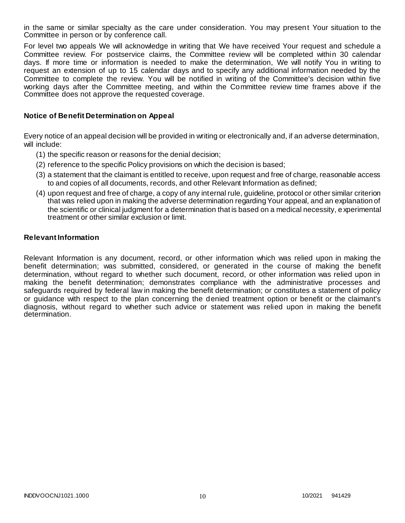in the same or similar specialty as the care under consideration. You may present Your situation to the Committee in person or by conference call.

For level two appeals We will acknowledge in writing that We have received Your request and schedule a Committee review. For postservice claims, the Committee review will be completed within 30 calendar days. If more time or information is needed to make the determination, We will notify You in writing to request an extension of up to 15 calendar days and to specify any additional information needed by the Committee to complete the review. You will be notified in writing of the Committee's decision within five working days after the Committee meeting, and within the Committee review time frames above if the Committee does not approve the requested coverage.

### **Notice of Benefit Determination on Appeal**

Every notice of an appeal decision will be provided in writing or electronically and, if an adverse determination, will include:

- (1) the specific reason or reasons for the denial decision;
- (2) reference to the specific Policy provisions on which the decision is based;
- (3) a statement that the claimant is entitled to receive, upon request and free of charge, reasonable access to and copies of all documents, records, and other Relevant Information as defined;
- (4) upon request and free of charge, a copy of any internal rule, guideline, protocol or other similar criterion that was relied upon in making the adverse determination regarding Your appeal, and an explanation of the scientific or clinical judgment for a determination that is based on a medical necessity, experimental treatment or other similar exclusion or limit.

### **Relevant Information**

Relevant Information is any document, record, or other information which was relied upon in making the benefit determination; was submitted, considered, or generated in the course of making the benefit determination, without regard to whether such document, record, or other information was relied upon in making the benefit determination; demonstrates compliance with the administrative processes and safeguards required by federal law in making the benefit determination; or constitutes a statement of policy or guidance with respect to the plan concerning the denied treatment option or benefit or the claimant's diagnosis, without regard to whether such advice or statement was relied upon in making the benefit determination.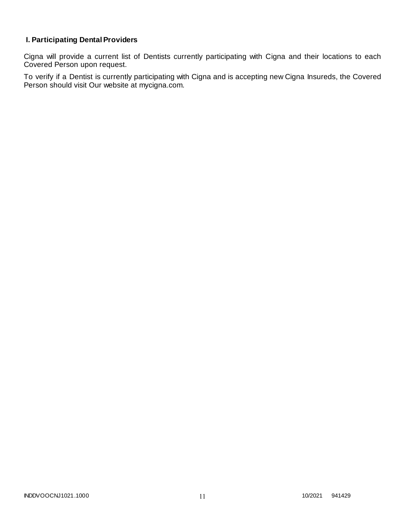# **I. Participating Dental Providers**

Cigna will provide a current list of Dentists currently participating with Cigna and their locations to each Covered Person upon request.

To verify if a Dentist is currently participating with Cigna and is accepting new Cigna Insureds, the Covered Person should visit Our website at mycigna.com.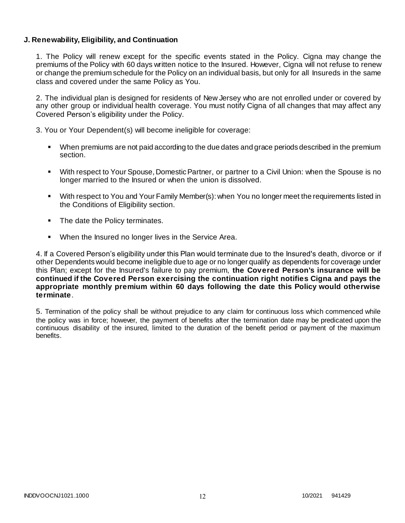### **J. Renewability, Eligibility, and Continuation**

1. The Policy will renew except for the specific events stated in the Policy. Cigna may change the premiums of the Policy with 60 days written notice to the Insured. However, Cigna will not refuse to renew or change the premium schedule for the Policy on an individual basis, but only for all Insureds in the same class and covered under the same Policy as You.

2. The individual plan is designed for residents of New Jersey who are not enrolled under or covered by any other group or individual health coverage. You must notify Cigna of all changes that may affect any Covered Person's eligibility under the Policy.

3. You or Your Dependent(s) will become ineligible for coverage:

- When premiums are not paid according to the due dates and grace periods described in the premium section.
- With respect to Your Spouse, Domestic Partner, or partner to a Civil Union: when the Spouse is no longer married to the Insured or when the union is dissolved.
- With respect to You and Your Family Member(s): when You no longer meet the requirements listed in the Conditions of Eligibility section.
- The date the Policy terminates.
- When the Insured no longer lives in the Service Area.

4. If a Covered Person's eligibility under this Plan would terminate due to the Insured's death, divorce or if other Dependents would become ineligible due to age or no longer qualify as dependents for coverage under this Plan; except for the Insured's failure to pay premium, **the Covered Person's insurance will be continued if the Covered Person exercising the continuation right notifies Cigna and pays the appropriate monthly premium within 60 days following the date this Policy would otherwise terminate**.

5. Termination of the policy shall be without prejudice to any claim for continuous loss which commenced while the policy was in force; however, the payment of benefits after the termination date may be predicated upon the continuous disability of the insured, limited to the duration of the benefit period or payment of the maximum benefits.